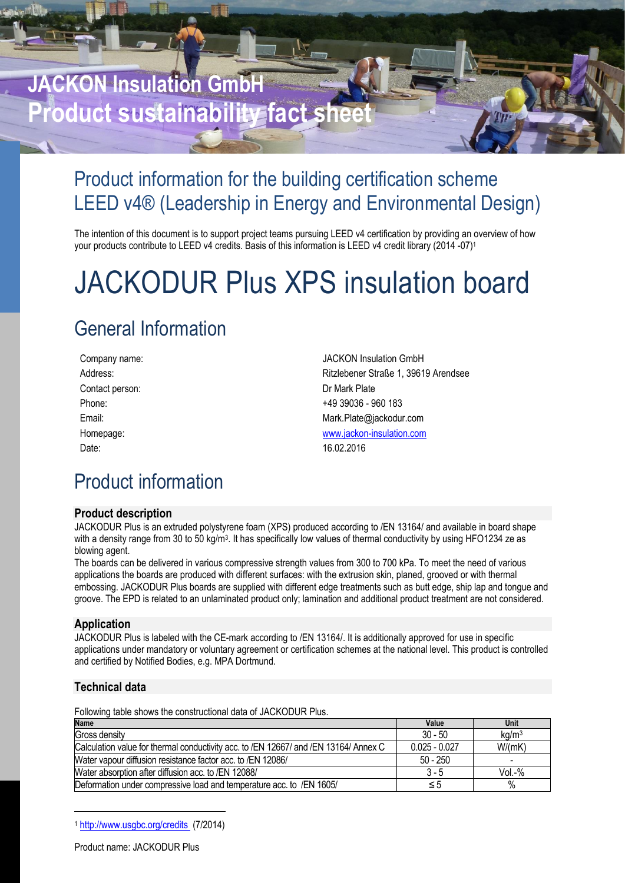# **JACKON Insulation GmbH Product sustainability fact sheet**

# Product information for the building certification scheme LEED v4® (Leadership in Energy and Environmental Design)

The intention of this document is to support project teams pursuing LEED v4 certification by providing an overview of how your products contribute to LEED v4 credits. Basis of this information is LEED v4 credit library (2014 -07)<sup>1</sup>

# JACKODUR Plus XPS insulation board

# General Information

| Company name:   | <b>JACKON Insulation GmbH</b>        |
|-----------------|--------------------------------------|
| Address:        | Ritzlebener Straße 1, 39619 Arendsee |
| Contact person: | Dr Mark Plate                        |
| Phone:          | +49 39036 - 960 183                  |
| Email:          | Mark.Plate@jackodur.com              |
| Homepage:       | www.jackon-insulation.com            |
| Date:           | 16.02.2016                           |
|                 |                                      |

## Product information

### **Product description**

JACKODUR Plus is an extruded polystyrene foam (XPS) produced according to /EN 13164/ and available in board shape with a density range from 30 to 50 kg/m<sup>3</sup>. It has specifically low values of thermal conductivity by using HFO1234 ze as blowing agent.

The boards can be delivered in various compressive strength values from 300 to 700 kPa. To meet the need of various applications the boards are produced with different surfaces: with the extrusion skin, planed, grooved or with thermal embossing. JACKODUR Plus boards are supplied with different edge treatments such as butt edge, ship lap and tongue and groove. The EPD is related to an unlaminated product only; lamination and additional product treatment are not considered.

### **Application**

JACKODUR Plus is labeled with the CE-mark according to /EN 13164/. It is additionally approved for use in specific applications under mandatory or voluntary agreement or certification schemes at the national level. This product is controlled and certified by Notified Bodies, e.g. MPA Dortmund.

## **Technical data**

-

Following table shows the constructional data of JACKODUR Plus.

| <b>Name</b>                                                                          | Value           | Unit              |
|--------------------------------------------------------------------------------------|-----------------|-------------------|
| Gross density                                                                        | $30 - 50$       | kg/m <sup>3</sup> |
| Calculation value for thermal conductivity acc. to /EN 12667/ and /EN 13164/ Annex C | $0.025 - 0.027$ | W/(mK)            |
| Water vapour diffusion resistance factor acc. to /EN 12086/                          | $50 - 250$      |                   |
| Water absorption after diffusion acc. to /EN 12088/                                  | $3 - 5$         | Vol.-%            |
| Deformation under compressive load and temperature acc. to /EN 1605/                 | ≤5              | $\%$              |

<sup>1</sup> <http://www.usgbc.org/credits> (7/2014)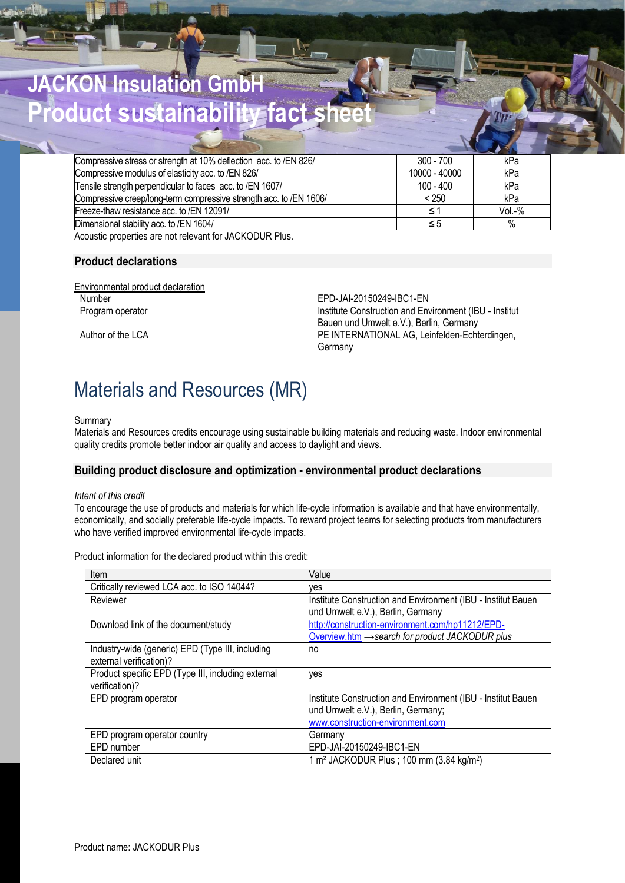# **JACKON Insulation GmbH Product sustainability fact sheet**

| Compressive stress or strength at 10% deflection acc. to /EN 826/  | $300 - 700$   | kPa      |
|--------------------------------------------------------------------|---------------|----------|
| Compressive modulus of elasticity acc. to /EN 826/                 | 10000 - 40000 | kPa      |
| Tensile strength perpendicular to faces acc. to /EN 1607/          | $100 - 400$   | kPa      |
| Compressive creep/long-term compressive strength acc. to /EN 1606/ | < 250         | kPa      |
| Freeze-thaw resistance acc. to /EN 12091/                          | ≤             | $Vol.-%$ |
| Dimensional stability acc. to /EN 1604/                            | $\leq 5$      | $\%$     |
| A C C C C C C C C CONTINUES                                        |               |          |

Acoustic properties are not relevant for JACKODUR Plus.

### **Product declarations**

Environmental product declaration Number EPD-JAI-20150249-IBC1-EN

Program operator **Institute Construction and Environment (IBU - Institute** Bauen und Umwelt e.V.), Berlin, Germany Author of the LCA **PE INTERNATIONAL AG, Leinfelden-Echterdingen**, **Germany** 

## Materials and Resources (MR)

#### Summary

Materials and Resources credits encourage using sustainable building materials and reducing waste. Indoor environmental quality credits promote better indoor air quality and access to daylight and views.

#### **Building product disclosure and optimization - environmental product declarations**

#### *Intent of this credit*

To encourage the use of products and materials for which life-cycle information is available and that have environmentally, economically, and socially preferable life-cycle impacts. To reward project teams for selecting products from manufacturers who have verified improved environmental life-cycle impacts.

Product information for the declared product within this credit:

| Item                                                                        | Value                                                                                                                                   |
|-----------------------------------------------------------------------------|-----------------------------------------------------------------------------------------------------------------------------------------|
| Critically reviewed LCA acc. to ISO 14044?                                  | ves                                                                                                                                     |
| Reviewer                                                                    | Institute Construction and Environment (IBU - Institut Bauen)<br>und Umwelt e.V.), Berlin, Germany                                      |
| Download link of the document/study                                         | http://construction-environment.com/hp11212/EPD-<br>Overview.htm → search for product JACKODUR plus                                     |
| Industry-wide (generic) EPD (Type III, including<br>external verification)? | no                                                                                                                                      |
| Product specific EPD (Type III, including external<br>verification)?        | yes                                                                                                                                     |
| EPD program operator                                                        | Institute Construction and Environment (IBU - Institut Bauen)<br>und Umwelt e.V.), Berlin, Germany;<br>www.construction-environment.com |
| EPD program operator country                                                | Germany                                                                                                                                 |
| EPD number                                                                  | EPD-JAI-20150249-IBC1-EN                                                                                                                |
| Declared unit                                                               | 1 m <sup>2</sup> JACKODUR Plus; 100 mm (3.84 kg/m <sup>2</sup> )                                                                        |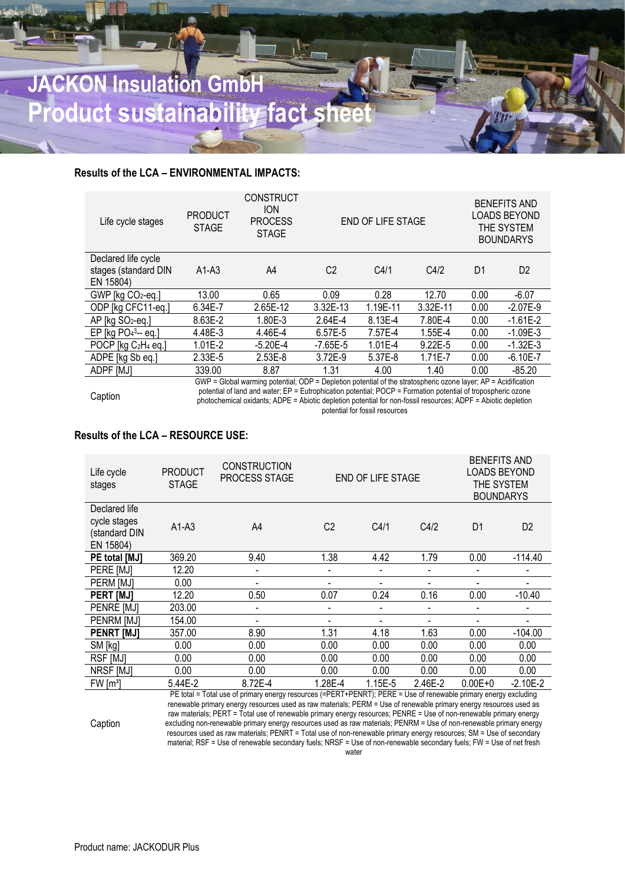# **JACKON Insulation GmbH Product sustainability fact she**

## **Results of the LCA – ENVIRONMENTAL IMPACTS:**

| Life cycle stages                           | <b>PRODUCT</b><br><b>STAGE</b> | <b>CONSTRUCT</b><br><b>ION</b><br><b>PROCESS</b><br><b>STAGE</b>                                               |                | <b>END OF LIFE STAGE</b> |             |                | <b>BENEFITS AND</b><br><b>LOADS BEYOND</b><br>THE SYSTEM<br><b>BOUNDARYS</b> |
|---------------------------------------------|--------------------------------|----------------------------------------------------------------------------------------------------------------|----------------|--------------------------|-------------|----------------|------------------------------------------------------------------------------|
| Declared life cycle                         |                                |                                                                                                                |                |                          |             |                |                                                                              |
| stages (standard DIN                        | $A1-A3$                        | A4                                                                                                             | C <sub>2</sub> | C4/1                     | C4/2        | D <sub>1</sub> | D <sub>2</sub>                                                               |
| EN 15804)                                   |                                |                                                                                                                |                |                          |             |                |                                                                              |
| GWP [kg CO2-eq.]                            | 13.00                          | 0.65                                                                                                           | 0.09           | 0.28                     | 12.70       | 0.00           | $-6.07$                                                                      |
| ODP [kg CFC11-eq.]                          | 6.34E-7                        | 2.65E-12                                                                                                       | 3.32E-13       | 1.19E-11                 | 3.32E-11    | 0.00           | $-2.07E-9$                                                                   |
| AP [kg SO <sub>2-eq.]</sub>                 | 8.63E-2                        | 1.80E-3                                                                                                        | 2.64E-4        | 8.13E-4                  | 7.80E-4     | 0.00           | $-1.61E-2$                                                                   |
| EP [kg $PO43 - eq.$ ]                       | 4.48E-3                        | 4.46E-4                                                                                                        | 6.57E-5        | 7.57E-4                  | 1.55E-4     | 0.00           | $-1.09E-3$                                                                   |
| POCP [kg C <sub>2</sub> H <sub>4</sub> eq.] | $1.01E-2$                      | $-5.20E - 4$                                                                                                   | -7.65E-5       | $1.01E - 4$              | $9.22E - 5$ | 0.00           | $-1.32E-3$                                                                   |
| ADPE [kg Sb eq.]                            | $2.33E-5$                      | $2.53E-8$                                                                                                      | 3.72E-9        | 5.37E-8                  | $1.71E - 7$ | 0.00           | $-6.10E - 7$                                                                 |
| ADPF [MJ]                                   | 339.00                         | 8.87                                                                                                           | 1.31           | 4.00                     | 1.40        | 0.00           | $-85.20$                                                                     |
|                                             |                                | GWP = Global warming potential; ODP = Depletion potential of the stratospheric ozone layer; AP = Acidification |                |                          |             |                |                                                                              |

Caption

potential of land and water; EP = Eutrophication potential; POCP = Formation potential of tropospheric ozone photochemical oxidants; ADPE = Abiotic depletion potential for non-fossil resources; ADPF = Abiotic depletion potential for fossil resources

### **Results of the LCA – RESOURCE USE:**

| Life cycle<br>stages          | <b>PRODUCT</b><br><b>STAGE</b> | <b>CONSTRUCTION</b><br>PROCESS STAGE |                | <b>END OF LIFE STAGE</b> |                          | <b>BENEFITS AND</b><br>LOADS BEYOND<br>THE SYSTEM<br><b>BOUNDARYS</b> |                |
|-------------------------------|--------------------------------|--------------------------------------|----------------|--------------------------|--------------------------|-----------------------------------------------------------------------|----------------|
| Declared life<br>cycle stages |                                |                                      |                |                          |                          |                                                                       |                |
| (standard DIN<br>EN 15804)    | $A1-A3$                        | A4                                   | C <sub>2</sub> | C4/1                     | C4/2                     | D <sub>1</sub>                                                        | D <sub>2</sub> |
| PE total [MJ]                 | 369.20                         | 9.40                                 | 1.38           | 4.42                     | 1.79                     | 0.00                                                                  | $-114.40$      |
| PERE IMJI                     | 12.20                          | ٠                                    | ٠              | $\overline{\phantom{a}}$ | $\overline{\phantom{0}}$ | ۰                                                                     |                |
| PERM [MJ]                     | 0.00                           | ٠                                    | -              | $\overline{\phantom{a}}$ | $\overline{\phantom{0}}$ | ۰                                                                     | ۰              |
| <b>PERT [MJ]</b>              | 12.20                          | 0.50                                 | 0.07           | 0.24                     | 0.16                     | 0.00                                                                  | $-10.40$       |
| PENRE [MJ]                    | 203.00                         | ٠                                    | ٠              | $\overline{\phantom{a}}$ | $\blacksquare$           | $\overline{\phantom{a}}$                                              |                |
| <b>PENRM [MJ]</b>             | 154.00                         | $\blacksquare$                       | ٠              | $\blacksquare$           | $\blacksquare$           |                                                                       |                |
| <b>PENRT [MJ]</b>             | 357.00                         | 8.90                                 | 1.31           | 4.18                     | 1.63                     | 0.00                                                                  | $-104.00$      |
| SM [kg]                       | 0.00                           | 0.00                                 | 0.00           | 0.00                     | 0.00                     | 0.00                                                                  | 0.00           |
| <b>RSF [MJ]</b>               | 0.00                           | 0.00                                 | 0.00           | 0.00                     | 0.00                     | 0.00                                                                  | 0.00           |
| <b>NRSF [MJ]</b>              | 0.00                           | 0.00                                 | 0.00           | 0.00                     | 0.00                     | 0.00                                                                  | 0.00           |
| FW [m <sup>3</sup> ]          | 5.44E-2                        | 8.72E-4                              | 1.28E-4        | 1.15E-5                  | 2.46E-2                  | $0.00E + 0$                                                           | $-2.10E-2$     |

PE total = Total use of primary energy resources (=PERT+PENRT); PERE = Use of renewable primary energy excluding renewable primary energy resources used as raw materials; PERM = Use of renewable primary energy resources used as raw materials; PERT = Total use of renewable primary energy resources; PENRE = Use of non-renewable primary energy excluding non-renewable primary energy resources used as raw materials; PENRM = Use of non-renewable primary energy resources used as raw materials; PENRT = Total use of non-renewable primary energy resources; SM = Use of secondary material; RSF = Use of renewable secondary fuels; NRSF = Use of non-renewable secondary fuels; FW = Use of net fresh water

Caption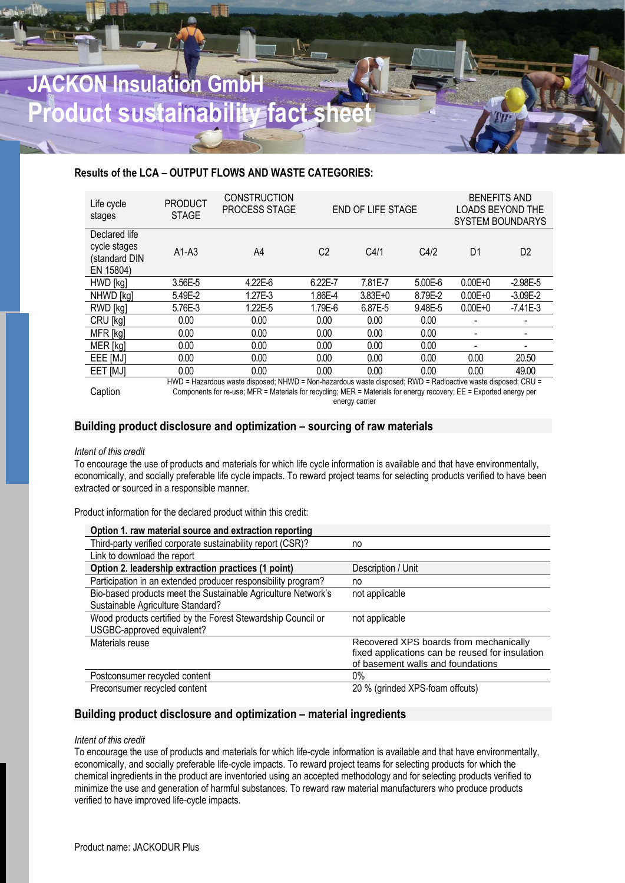# **JACKON** Insulation Gm **Product sustainability fact she**

### **Results of the LCA – OUTPUT FLOWS AND WASTE CATEGORIES:**

| Life cycle<br>stages                                        | <b>PRODUCT</b><br><b>STAGE</b> | <b>CONSTRUCTION</b><br><b>PROCESS STAGE</b>                                                                  |                | END OF LIFE STAGE |             | <b>BENEFITS AND</b> | LOADS BEYOND THE<br><b>SYSTEM BOUNDARYS</b> |
|-------------------------------------------------------------|--------------------------------|--------------------------------------------------------------------------------------------------------------|----------------|-------------------|-------------|---------------------|---------------------------------------------|
| Declared life<br>cycle stages<br>(standard DIN<br>EN 15804) | $A1-A3$                        | A4                                                                                                           | C <sub>2</sub> | C4/1              | C4/2        | D <sub>1</sub>      | D <sub>2</sub>                              |
| HWD [kg]                                                    | 3.56E-5                        | 4.22E-6                                                                                                      | 6.22E-7        | 7.81E-7           | $5.00E - 6$ | $0.00E + 0$         | $-2.98E - 5$                                |
| NHWD [kg]                                                   | 5.49E-2                        | 1.27E-3                                                                                                      | 1.86E-4        | 3.83E+0           | 8.79E-2     | $0.00E + 0$         | $-3.09E - 2$                                |
| RWD [kg]                                                    | 5.76E-3                        | 1.22E-5                                                                                                      | 1.79E-6        | 6.87E-5           | 9.48E-5     | $0.00E + 0$         | $-7.41E-3$                                  |
| CRU [kg]                                                    | 0.00                           | 0.00                                                                                                         | 0.00           | 0.00              | 0.00        |                     | -                                           |
| MFR [kg]                                                    | 0.00                           | 0.00                                                                                                         | 0.00           | 0.00              | 0.00        |                     |                                             |
| MER [kg]                                                    | 0.00                           | 0.00                                                                                                         | 0.00           | 0.00              | 0.00        |                     |                                             |
| EEE [MJ]                                                    | 0.00                           | 0.00                                                                                                         | 0.00           | 0.00              | 0.00        | 0.00                | 20.50                                       |
| EET [MJ]                                                    | 0.00                           | 0.00                                                                                                         | 0.00           | 0.00              | 0.00        | 0.00                | 49.00                                       |
|                                                             |                                | HWD = Hazardous waste disposed; NHWD = Non-hazardous waste disposed; RWD = Radioactive waste disposed; CRU = |                |                   |             |                     |                                             |

Caption

HWD = Hazardous waste disposed; NHWD = Non-hazardous waste disposed; RWD = Radioactive waste disposed; CRU = Components for re-use; MFR = Materials for recycling; MER = Materials for energy recovery; EE = Exported energy per energy carrier

## **Building product disclosure and optimization – sourcing of raw materials**

#### *Intent of this credit*

To encourage the use of products and materials for which life cycle information is available and that have environmentally, economically, and socially preferable life cycle impacts. To reward project teams for selecting products verified to have been extracted or sourced in a responsible manner.

Product information for the declared product within this credit:

| Option 1. raw material source and extraction reporting        |                                                 |
|---------------------------------------------------------------|-------------------------------------------------|
| Third-party verified corporate sustainability report (CSR)?   | no                                              |
| Link to download the report                                   |                                                 |
| Option 2. leadership extraction practices (1 point)           | Description / Unit                              |
| Participation in an extended producer responsibility program? | no                                              |
| Bio-based products meet the Sustainable Agriculture Network's | not applicable                                  |
| Sustainable Agriculture Standard?                             |                                                 |
| Wood products certified by the Forest Stewardship Council or  | not applicable                                  |
| USGBC-approved equivalent?                                    |                                                 |
| Materials reuse                                               | Recovered XPS boards from mechanically          |
|                                                               | fixed applications can be reused for insulation |
|                                                               | of basement walls and foundations               |
| Postconsumer recycled content                                 | 0%                                              |
| Preconsumer recycled content                                  | 20 % (grinded XPS-foam offcuts)                 |

### **Building product disclosure and optimization – material ingredients**

#### *Intent of this credit*

To encourage the use of products and materials for which life-cycle information is available and that have environmentally, economically, and socially preferable life-cycle impacts. To reward project teams for selecting products for which the chemical ingredients in the product are inventoried using an accepted methodology and for selecting products verified to minimize the use and generation of harmful substances. To reward raw material manufacturers who produce products verified to have improved life-cycle impacts.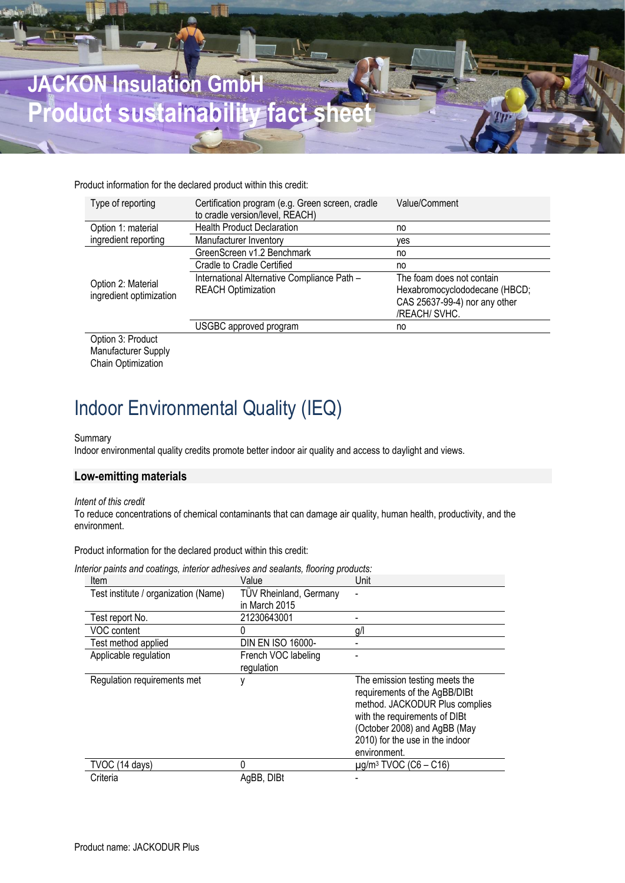

Product information for the declared product within this credit:

| Type of reporting       | Certification program (e.g. Green screen, cradle<br>to cradle version/level, REACH) | Value/Comment                 |
|-------------------------|-------------------------------------------------------------------------------------|-------------------------------|
| Option 1: material      | <b>Health Product Declaration</b>                                                   | no                            |
| ingredient reporting    | Manufacturer Inventory                                                              | ves                           |
|                         | GreenScreen v1.2 Benchmark                                                          | no                            |
|                         | <b>Cradle to Cradle Certified</b>                                                   | no                            |
| Option 2: Material      | International Alternative Compliance Path -                                         | The foam does not contain     |
| ingredient optimization | <b>REACH Optimization</b>                                                           | Hexabromocyclododecane (HBCD; |
|                         |                                                                                     | CAS 25637-99-4) nor any other |
|                         |                                                                                     | /REACH/ SVHC.                 |
|                         | USGBC approved program                                                              | no                            |

Option 3: Product Manufacturer Supply Chain Optimization

# Indoor Environmental Quality (IEQ)

#### Summary

Indoor environmental quality credits promote better indoor air quality and access to daylight and views.

## **Low-emitting materials**

#### *Intent of this credit*

To reduce concentrations of chemical contaminants that can damage air quality, human health, productivity, and the environment.

Product information for the declared product within this credit:

| Item                                 | Value                         | Unit                                                                                                                                                                                                                  |
|--------------------------------------|-------------------------------|-----------------------------------------------------------------------------------------------------------------------------------------------------------------------------------------------------------------------|
| Test institute / organization (Name) | <b>TÜV Rheinland, Germany</b> |                                                                                                                                                                                                                       |
|                                      | in March 2015                 |                                                                                                                                                                                                                       |
| Test report No.                      | 21230643001                   |                                                                                                                                                                                                                       |
| VOC content                          | 0                             | g/l                                                                                                                                                                                                                   |
| Test method applied                  | <b>DIN EN ISO 16000-</b>      |                                                                                                                                                                                                                       |
| Applicable regulation                | French VOC labeling           |                                                                                                                                                                                                                       |
|                                      | regulation                    |                                                                                                                                                                                                                       |
| Regulation requirements met          | ۷                             | The emission testing meets the<br>requirements of the AgBB/DIBt<br>method. JACKODUR Plus complies<br>with the requirements of DIBt<br>(October 2008) and AgBB (May<br>2010) for the use in the indoor<br>environment. |
| TVOC (14 days)                       | Λ                             | $\mu$ g/m <sup>3</sup> TVOC (C6 – C16)                                                                                                                                                                                |
| Criteria                             | AgBB, DIBt                    |                                                                                                                                                                                                                       |